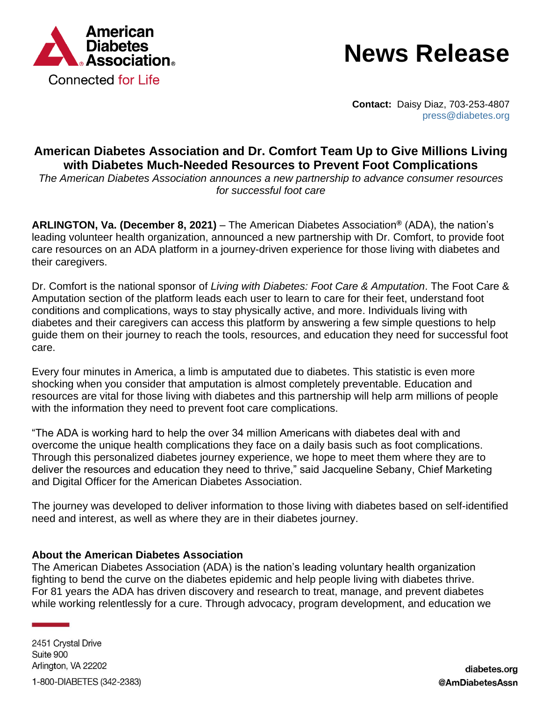

## **News Release**

**Contact:** Daisy Diaz, 703-253-4807 [press@diabetes.org](mailto:press@diabetes.org)

## **American Diabetes Association and Dr. Comfort Team Up to Give Millions Living with Diabetes Much-Needed Resources to Prevent Foot Complications**

*The American Diabetes Association announces a new partnership to advance consumer resources for successful foot care*

**ARLINGTON, Va. (December 8, 2021)** – The American Diabetes Association**®** (ADA), the nation's leading volunteer health organization, announced a new partnership with Dr. Comfort, to provide foot care resources on an ADA platform in a journey-driven experience for those living with diabetes and their caregivers.

Dr. Comfort is the national sponsor of *Living with Diabetes: Foot Care & Amputation*. The Foot Care & Amputation section of the platform leads each user to learn to care for their feet, understand foot conditions and complications, ways to stay physically active, and more. Individuals living with diabetes and their caregivers can access this platform by answering a few simple questions to help guide them on their journey to reach the tools, resources, and education they need for successful foot care.

Every four minutes in America, a limb is amputated due to diabetes. This statistic is even more shocking when you consider that amputation is almost completely preventable. Education and resources are vital for those living with diabetes and this partnership will help arm millions of people with the information they need to prevent foot care complications.

"The ADA is working hard to help the over 34 million Americans with diabetes deal with and overcome the unique health complications they face on a daily basis such as foot complications. Through this personalized diabetes journey experience, we hope to meet them where they are to deliver the resources and education they need to thrive," said Jacqueline Sebany, Chief Marketing and Digital Officer for the American Diabetes Association.

The journey was developed to deliver information to those living with diabetes based on self-identified need and interest, as well as where they are in their diabetes journey.

## **About the American Diabetes Association**

The American Diabetes Association (ADA) is the nation's leading voluntary health organization fighting to bend the curve on the diabetes epidemic and help people living with diabetes thrive. For 81 years the ADA has driven discovery and research to treat, manage, and prevent diabetes while working relentlessly for a cure. Through advocacy, program development, and education we

2451 Crystal Drive Suite 900 Arlington, VA 22202 1-800-DIABETES (342-2383)

diabetes.org @AmDiabetesAssn